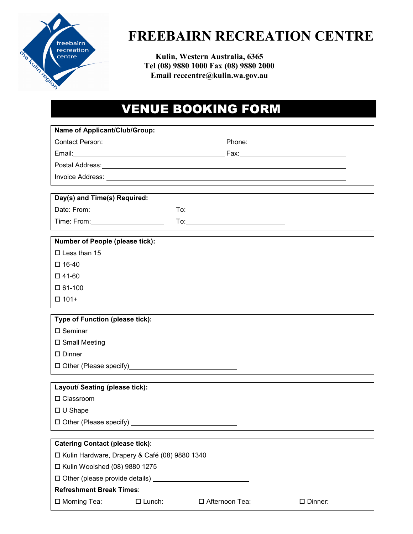

# **FREEBAIRN RECREATION CENTRE**

**Kulin, Western Australia, 6365 Tel (08) 9880 1000 Fax (08) 9880 2000 Email reccentre@kulin.wa.gov.au** 

## VENUE BOOKING FORM

| Name of Applicant/Club/Group:                                                                         |  |                                                                                                                                                                                                                                     |  |
|-------------------------------------------------------------------------------------------------------|--|-------------------------------------------------------------------------------------------------------------------------------------------------------------------------------------------------------------------------------------|--|
|                                                                                                       |  |                                                                                                                                                                                                                                     |  |
|                                                                                                       |  |                                                                                                                                                                                                                                     |  |
|                                                                                                       |  | Postal Address: <u>Communication</u> Contract and Contract Contract Contract Contract Contract Contract Contract Contract Contract Contract Contract Contract Contract Contract Contract Contract Contract Contract Contract Contra |  |
|                                                                                                       |  |                                                                                                                                                                                                                                     |  |
|                                                                                                       |  |                                                                                                                                                                                                                                     |  |
| Day(s) and Time(s) Required:                                                                          |  |                                                                                                                                                                                                                                     |  |
| Date: From: 2000 2000 2010 2010 2020 2020 2021                                                        |  |                                                                                                                                                                                                                                     |  |
|                                                                                                       |  |                                                                                                                                                                                                                                     |  |
| Number of People (please tick):                                                                       |  |                                                                                                                                                                                                                                     |  |
| $\Box$ Less than 15                                                                                   |  |                                                                                                                                                                                                                                     |  |
| $\square$ 16-40                                                                                       |  |                                                                                                                                                                                                                                     |  |
| $\square$ 41-60                                                                                       |  |                                                                                                                                                                                                                                     |  |
| $\Box$ 61-100                                                                                         |  |                                                                                                                                                                                                                                     |  |
| $\Box$ 101+                                                                                           |  |                                                                                                                                                                                                                                     |  |
|                                                                                                       |  |                                                                                                                                                                                                                                     |  |
| Type of Function (please tick):<br>$\square$ Seminar                                                  |  |                                                                                                                                                                                                                                     |  |
| □ Small Meeting                                                                                       |  |                                                                                                                                                                                                                                     |  |
| $\square$ Dinner                                                                                      |  |                                                                                                                                                                                                                                     |  |
|                                                                                                       |  |                                                                                                                                                                                                                                     |  |
|                                                                                                       |  |                                                                                                                                                                                                                                     |  |
| Layout/ Seating (please tick):                                                                        |  |                                                                                                                                                                                                                                     |  |
| $\Box$ Classroom                                                                                      |  |                                                                                                                                                                                                                                     |  |
| $\Box$ U Shape                                                                                        |  |                                                                                                                                                                                                                                     |  |
| □ Other (Please specify) _______________                                                              |  |                                                                                                                                                                                                                                     |  |
|                                                                                                       |  |                                                                                                                                                                                                                                     |  |
| <b>Catering Contact (please tick):</b>                                                                |  |                                                                                                                                                                                                                                     |  |
| □ Kulin Hardware, Drapery & Café (08) 9880 1340                                                       |  |                                                                                                                                                                                                                                     |  |
| □ Kulin Woolshed (08) 9880 1275                                                                       |  |                                                                                                                                                                                                                                     |  |
|                                                                                                       |  |                                                                                                                                                                                                                                     |  |
| <b>Refreshment Break Times:</b><br>□ Morning Tea: □ □ Lunch: □ □ Afternoon Tea: □ □ Dinner: □ □ □ □ □ |  |                                                                                                                                                                                                                                     |  |
|                                                                                                       |  |                                                                                                                                                                                                                                     |  |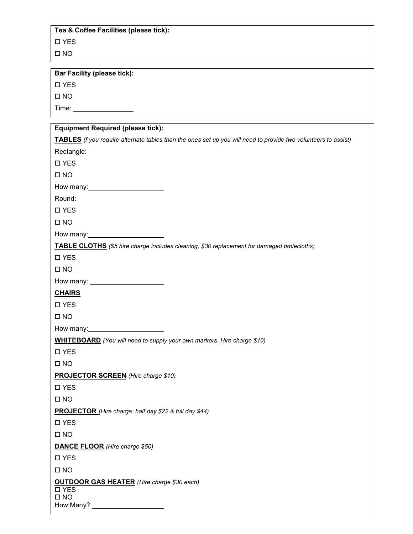#### **Tea & Coffee Facilities (please tick):**

YES

 $\square$  NO

**Bar Facility (please tick):** 

 $\square$  YES

 $\square$  NO

Time:

| <b>Equipment Required (please tick):</b>                                                                       |  |  |  |
|----------------------------------------------------------------------------------------------------------------|--|--|--|
| TABLES (f you require alternate tables than the ones set up you will need to provide two volunteers to assist) |  |  |  |
| Rectangle:                                                                                                     |  |  |  |
| □ YES                                                                                                          |  |  |  |
| $\square$ NO                                                                                                   |  |  |  |
|                                                                                                                |  |  |  |
| Round:                                                                                                         |  |  |  |
| □ YES                                                                                                          |  |  |  |
| $\square$ NO                                                                                                   |  |  |  |
| How many: Now many:                                                                                            |  |  |  |
| <b>TABLE CLOTHS</b> (\$5 hire charge includes cleaning, \$30 replacement for damaged tablecloths)              |  |  |  |
| $\square$ YES                                                                                                  |  |  |  |
| $\square$ NO                                                                                                   |  |  |  |
|                                                                                                                |  |  |  |
| <b>CHAIRS</b>                                                                                                  |  |  |  |
| □ YES                                                                                                          |  |  |  |
| $\square$ NO                                                                                                   |  |  |  |
|                                                                                                                |  |  |  |
| <b>WHITEBOARD</b> (You will need to supply your own markers. Hire charge \$10)                                 |  |  |  |
| □ YES                                                                                                          |  |  |  |
| $\square$ NO                                                                                                   |  |  |  |
| <b>PROJECTOR SCREEN</b> (Hire charge \$10)                                                                     |  |  |  |
| □ YES                                                                                                          |  |  |  |
| $\square$ NO                                                                                                   |  |  |  |
| <b>PROJECTOR</b> (Hire charge: half day \$22 & full day \$44)                                                  |  |  |  |
| □ YES                                                                                                          |  |  |  |
| $\square$ NO                                                                                                   |  |  |  |
| <b>DANCE FLOOR</b> (Hire charge \$50)                                                                          |  |  |  |
| □ YES                                                                                                          |  |  |  |
| $\square$ NO                                                                                                   |  |  |  |
| <b>OUTDOOR GAS HEATER</b> (Hire charge \$30 each)                                                              |  |  |  |
| □ YES<br>$\square$ NO                                                                                          |  |  |  |
|                                                                                                                |  |  |  |